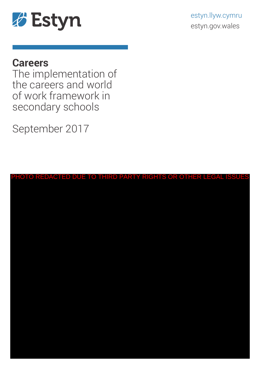

# **Careers**

The implementation of the careers and world of work framework in secondary schools

September 2017

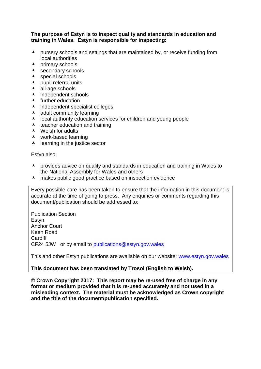#### **The purpose of Estyn is to inspect quality and standards in education and training in Wales. Estyn is responsible for inspecting:**

- $\lambda$  nursery schools and settings that are maintained by, or receive funding from, local authorities
- $\lambda$  primary schools
- $\lambda$  secondary schools
- $\lambda$  special schools
- $\lambda$  pupil referral units
- all-age schools
- $\overline{\phantom{a}}$  independent schools
- $\lambda$  further education
- $\lambda$  independent specialist colleges
- $\lambda$  adult community learning
- $\lambda$  local authority education services for children and young people
- $\lambda$  teacher education and training
- $\lambda$  Welsh for adults
- work-based learning
- $\lambda$  learning in the justice sector

Estyn also:

- $\lambda$  provides advice on quality and standards in education and training in Wales to the National Assembly for Wales and others
- $\lambda$  makes public good practice based on inspection evidence

Every possible care has been taken to ensure that the information in this document is accurate at the time of going to press. Any enquiries or comments regarding this document/publication should be addressed to:

Publication Section **Estvn** Anchor Court Keen Road **Cardiff** CF24 5JW or by email to [publications@estyn.gov.wales](mailto:publications@estyn.gov.wales)

This and other Estyn publications are available on our website: [www.estyn.gov.wales](http://www.estyn.gov.wales/)

### **This document has been translated by Trosol (English to Welsh).**

**© Crown Copyright 2017: This report may be re-used free of charge in any format or medium provided that it is re-used accurately and not used in a misleading context. The material must be acknowledged as Crown copyright and the title of the document/publication specified.**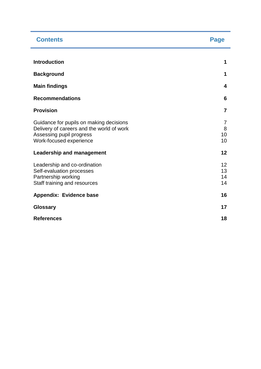| <b>Contents</b>                                                                                                                             | Page                 |
|---------------------------------------------------------------------------------------------------------------------------------------------|----------------------|
|                                                                                                                                             |                      |
| <b>Introduction</b>                                                                                                                         | 1                    |
| <b>Background</b>                                                                                                                           | 1                    |
| <b>Main findings</b>                                                                                                                        | 4                    |
| <b>Recommendations</b>                                                                                                                      | 6                    |
| <b>Provision</b>                                                                                                                            | $\overline{7}$       |
| Guidance for pupils on making decisions<br>Delivery of careers and the world of work<br>Assessing pupil progress<br>Work-focused experience | 7<br>8<br>10<br>10   |
| <b>Leadership and management</b>                                                                                                            | 12                   |
| Leadership and co-ordination<br>Self-evaluation processes<br>Partnership working<br>Staff training and resources                            | 12<br>13<br>14<br>14 |
| Appendix: Evidence base                                                                                                                     | 16                   |
| <b>Glossary</b>                                                                                                                             | 17                   |
| <b>References</b>                                                                                                                           | 18                   |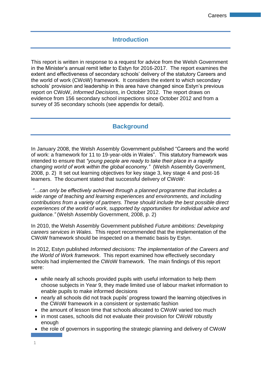## **Introduction**

This report is written in response to a request for advice from the Welsh Government in the Minister's annual remit letter to Estyn for 2016-2017. The report examines the extent and effectiveness of secondary schools' delivery of the statutory Careers and the world of work (CWoW) framework. It considers the extent to which secondary schools' provision and leadership in this area have changed since Estyn's previous report on CWoW, *Informed Decisions*, in October 2012. The report draws on evidence from 156 secondary school inspections since October 2012 and from a survey of 35 secondary schools (see appendix for detail).

## **Background**

In January 2008, the Welsh Assembly Government published "Careers and the world of work: a framework for 11 to 19-year-olds in Wales". This statutory framework was intended to ensure that *"young people are ready to take their place in a rapidly changing world of work within the global economy."* (Welsh Assembly Government, 2008, p. 2) It set out learning objectives for key stage 3, key stage 4 and post-16 learners. The document stated that successful delivery of CWoW:

*"…can only be effectively achieved through a planned programme that includes a wide range of teaching and learning experiences and environments, and including contributions from a variety of partners. These should include the best possible direct experiences of the world of work, supported by opportunities for individual advice and guidance."* (Welsh Assembly Government, 2008, p. 2)

In 2010, the Welsh Assembly Government published *Future ambitions: Developing careers services in Wales*. This report recommended that the implementation of the CWoW framework should be inspected on a thematic basis by Estyn.

In 2012, Estyn published *Informed decisions: The implementation of the Careers and the World of Work framework*. This report examined how effectively secondary schools had implemented the CWoW framework. The main findings of this report were:

- while nearly all schools provided pupils with useful information to help them choose subjects in Year 9, they made limited use of labour market information to enable pupils to make informed decisions
- nearly all schools did not track pupils' progress toward the learning objectives in the CWoW framework in a consistent or systematic fashion
- the amount of lesson time that schools allocated to CWoW varied too much
- in most cases, schools did not evaluate their provision for CWoW robustly enough
- the role of governors in supporting the strategic planning and delivery of CWoW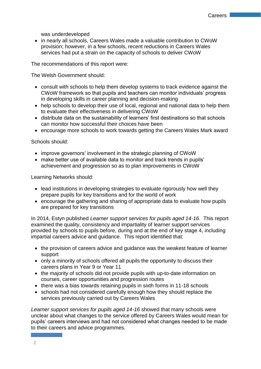was underdeveloped

 in nearly all schools, Careers Wales made a valuable contribution to CWoW provision; however, in a few schools, recent reductions in Careers Wales services had put a strain on the capacity of schools to deliver CWoW

The recommendations of this report were:

The Welsh Government should:

- consult with schools to help them develop systems to track evidence against the CWoW framework so that pupils and teachers can monitor individuals' progress in developing skills in career planning and decision-making
- help schools to develop their use of local, regional and national data to help them to evaluate their effectiveness in delivering CWoW
- distribute data on the sustainability of learners' first destinations so that schools can monitor how successful their choices have been
- encourage more schools to work towards getting the Careers Wales Mark award

Schools should:

- improve governors' involvement in the strategic planning of CWoW
- make better use of available data to monitor and track trends in pupils' achievement and progression so as to plan improvements in CWoW

Learning Networks should:

- lead institutions in developing strategies to evaluate rigorously how well they prepare pupils for key transitions and for the world of work
- encourage the gathering and sharing of appropriate data to evaluate how pupils are prepared for key transitions

In 2014, Estyn published *Learner support services for pupils aged 14-16.* This report examined the quality, consistency and impartiality of learner support services provided by schools to pupils before, during and at the end of key stage 4, including impartial careers advice and guidance. This report identified that:

- the provision of careers advice and guidance was the weakest feature of learner support
- only a minority of schools offered all pupils the opportunity to discuss their careers plans in Year 9 or Year 11
- the majority of schools did not provide pupils with up-to-date information on courses, career opportunities and progression routes
- there was a bias towards retaining pupils in sixth forms in 11-18 schools
- schools had not considered carefully enough how they should replace the services previously carried out by Careers Wales

*Learner support services for pupils aged 14-16* showed that many schools were unclear about what changes to the service offered by Careers Wales would mean for pupils' careers interviews and had not considered what changes needed to be made to their careers and advice programmes.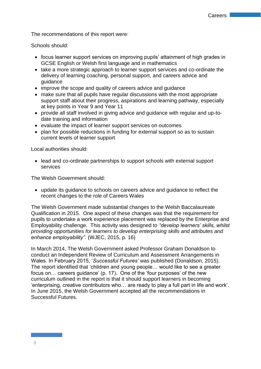The recommendations of this report were:

Schools should:

- focus learner support services on improving pupils' attainment of high grades in GCSE English or Welsh first language and in mathematics
- take a more strategic approach to learner support services and co-ordinate the delivery of learning coaching, personal support, and careers advice and guidance
- improve the scope and quality of careers advice and guidance
- make sure that all pupils have regular discussions with the most appropriate support staff about their progress, aspirations and learning pathway, especially at key points in Year 9 and Year 11
- provide all staff involved in giving advice and guidance with regular and up-todate training and information
- evaluate the impact of learner support services on outcomes
- plan for possible reductions in funding for external support so as to sustain current levels of learner support

Local authorities should:

• lead and co-ordinate partnerships to support schools with external support services

The Welsh Government should:

 update its guidance to schools on careers advice and guidance to reflect the recent changes to the role of Careers Wales

The Welsh Government made substantial changes to the Welsh Baccalaureate Qualification in 2015. One aspect of these changes was that the requirement for pupils to undertake a work experience placement was replaced by the Enterprise and Employability challenge. This activity was designed to *"develop learners' skills, whilst providing opportunities for learners to develop enterprising skills and attributes and enhance employability"*. (WJEC, 2015, p. 16)

In March 2014, The Welsh Government asked Professor Graham Donaldson to conduct an Independent Review of Curriculum and Assessment Arrangements in Wales. In February 2015, '*Successful Futures'* was published (Donaldson, 2015). The report identified that 'children and young people… would like to see a greater focus on… careers guidance' (p. 17). One of the 'four purposes' of the new curriculum outlined in the report is that it should support learners in becoming 'enterprising, creative contributors who… are ready to play a full part in life and work'. In June 2015, the Welsh Government accepted all the recommendations in Successful Futures.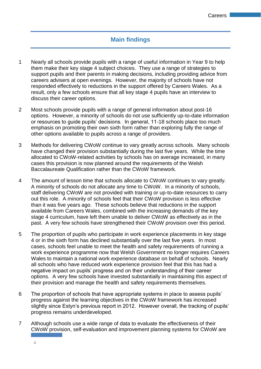## **Main findings**

- 1 Nearly all schools provide pupils with a range of useful information in Year 9 to help them make their key stage 4 subject choices. They use a range of strategies to support pupils and their parents in making decisions, including providing advice from careers advisers at open evenings. However, the majority of schools have not responded effectively to reductions in the support offered by Careers Wales. As a result, only a few schools ensure that all key stage 4 pupils have an interview to discuss their career options.
- 2 Most schools provide pupils with a range of general information about post-16 options. However, a minority of schools do not use sufficiently up-to-date information or resources to guide pupils' decisions. In general, 11-18 schools place too much emphasis on promoting their own sixth form rather than exploring fully the range of other options available to pupils across a range of providers.
- 3 Methods for delivering CWoW continue to vary greatly across schools. Many schools have changed their provision substantially during the last five years. While the time allocated to CWoW-related activities by schools has on average increased, in many cases this provision is now planned around the requirements of the Welsh Baccalaureate Qualification rather than the CWoW framework.
- 4 The amount of lesson time that schools allocate to CWoW continues to vary greatly. A minority of schools do not allocate any time to CWoW. In a minority of schools, staff delivering CWoW are not provided with training or up-to-date resources to carry out this role. A minority of schools feel that their CWoW provision is less effective than it was five years ago. These schools believe that reductions in the support available from Careers Wales, combined with the increasing demands of the key stage 4 curriculum, have left them unable to deliver CWoW as effectively as in the past. A very few schools have strengthened their CWoW provision over this period.
- 5 The proportion of pupils who participate in work experience placements in key stage 4 or in the sixth form has declined substantially over the last five years. In most cases, schools feel unable to meet the health and safety requirements of running a work experience programme now that Welsh Government no longer requires Careers Wales to maintain a national work experience database on behalf of schools. Nearly all schools who have reduced work experience provision feel that this has had a negative impact on pupils' progress and on their understanding of their career options. A very few schools have invested substantially in maintaining this aspect of their provision and manage the health and safety requirements themselves.
- 6 The proportion of schools that have appropriate systems in place to assess pupils' progress against the learning objectives in the CWoW framework has increased slightly since Estyn's previous report in 2012. However overall, the tracking of pupils' progress remains underdeveloped.
- 7 Although schools use a wide range of data to evaluate the effectiveness of their CWoW provision, self-evaluation and improvement planning systems for CWoW are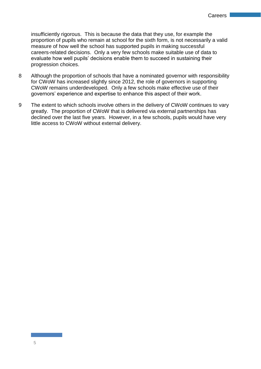insufficiently rigorous. This is because the data that they use, for example the proportion of pupils who remain at school for the sixth form, is not necessarily a valid measure of how well the school has supported pupils in making successful careers-related decisions. Only a very few schools make suitable use of data to evaluate how well pupils' decisions enable them to succeed in sustaining their progression choices.

- 8 Although the proportion of schools that have a nominated governor with responsibility for CWoW has increased slightly since 2012, the role of governors in supporting CWoW remains underdeveloped. Only a few schools make effective use of their governors' experience and expertise to enhance this aspect of their work.
- 9 The extent to which schools involve others in the delivery of CWoW continues to vary greatly. The proportion of CWoW that is delivered via external partnerships has declined over the last five years. However, in a few schools, pupils would have very little access to CWoW without external delivery.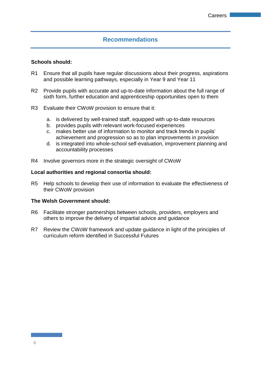## **Recommendations**

#### **Schools should:**

- R1 Ensure that all pupils have regular discussions about their progress, aspirations and possible learning pathways, especially in Year 9 and Year 11
- R2 Provide pupils with accurate and up-to-date information about the full range of sixth form, further education and apprenticeship opportunities open to them
- R3 Evaluate their CWoW provision to ensure that it:
	- a. is delivered by well-trained staff, equipped with up-to-date resources
	- b. provides pupils with relevant work-focused experiences
	- c. makes better use of information to monitor and track trends in pupils' achievement and progression so as to plan improvements in provision
	- d. is integrated into whole-school self-evaluation, improvement planning and accountability processes
- R4 Involve governors more in the strategic oversight of CWoW

#### **Local authorities and regional consortia should:**

R5 Help schools to develop their use of information to evaluate the effectiveness of their CWoW provision

#### **The Welsh Government should:**

- R6 Facilitate stronger partnerships between schools, providers, employers and others to improve the delivery of impartial advice and guidance
- R7 Review the CWoW framework and update guidance in light of the principles of curriculum reform identified in Successful Futures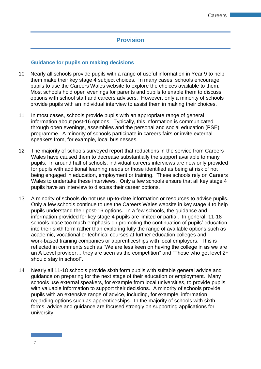## **Provision**

#### **Guidance for pupils on making decisions**

- 10 Nearly all schools provide pupils with a range of useful information in Year 9 to help them make their key stage 4 subject choices. In many cases, schools encourage pupils to use the Careers Wales website to explore the choices available to them. Most schools hold open evenings for parents and pupils to enable them to discuss options with school staff and careers advisers. However, only a minority of schools provide pupils with an individual interview to assist them in making their choices.
- 11 In most cases, schools provide pupils with an appropriate range of general information about post-16 options. Typically, this information is communicated through open evenings, assemblies and the personal and social education (PSE) programme. A minority of schools participate in careers fairs or invite external speakers from, for example, local businesses.
- 12 The majority of schools surveyed report that reductions in the service from Careers Wales have caused them to decrease substantially the support available to many pupils. In around half of schools, individual careers interviews are now only provided for pupils with additional learning needs or those identified as being at risk of not being engaged in education, employment or training. These schools rely on Careers Wales to undertake these interviews. Only a few schools ensure that all key stage 4 pupils have an interview to discuss their career options.
- 13 A minority of schools do not use up-to-date information or resources to advise pupils. Only a few schools continue to use the Careers Wales website in key stage 4 to help pupils understand their post-16 options. In a few schools, the guidance and information provided for key stage 4 pupils are limited or partial. In general, 11-18 schools place too much emphasis on promoting the continuation of pupils' education into their sixth form rather than exploring fully the range of available options such as academic, vocational or technical courses at further education colleges and work-based training companies or apprenticeships with local employers. This is reflected in comments such as "We are less keen on having the college in as we are an A Level provider… they are seen as the competition" and "Those who get level 2+ should stay in school".
- 14 Nearly all 11-18 schools provide sixth form pupils with suitable general advice and guidance on preparing for the next stage of their education or employment. Many schools use external speakers, for example from local universities, to provide pupils with valuable information to support their decisions. A minority of schools provide pupils with an extensive range of advice, including, for example, information regarding options such as apprenticeships. In the majority of schools with sixth forms, advice and guidance are focused strongly on supporting applications for university.

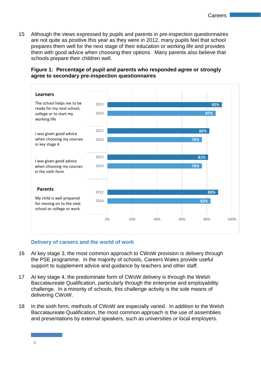15 Although the views expressed by pupils and parents in pre-inspection questionnaires are not quite as positive this year as they were in 2012, many pupils feel that school prepares them well for the next stage of their education or working life and provides them with good advice when choosing their options. Many parents also believe that schools prepare their children well.





#### **Delivery of careers and the world of work**

- 16 At key stage 3, the most common approach to CWoW provision is delivery through the PSE programme. In the majority of schools, Careers Wales provide useful support to supplement advice and guidance by teachers and other staff.
- 17 At key stage 4, the predominate form of CWoW delivery is through the Welsh Baccalaureate Qualification, particularly through the enterprise and employability challenge. In a minority of schools, this challenge activity is the sole means of delivering CWoW.
- 18 In the sixth form, methods of CWoW are especially varied. In addition to the Welsh Baccalaureate Qualification, the most common approach is the use of assemblies and presentations by external speakers, such as universities or local employers.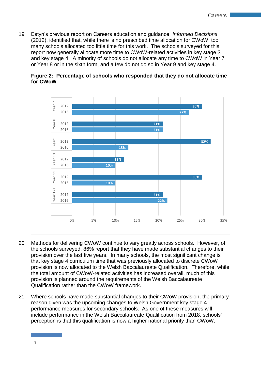19 Estyn's previous report on Careers education and guidance, *Informed Decisions* (2012), identified that, while there is no prescribed time allocation for CWoW, too many schools allocated too little time for this work. The schools surveyed for this report now generally allocate more time to CWoW-related activities in key stage 3 and key stage 4. A minority of schools do not allocate any time to CWoW in Year 7 or Year 8 or in the sixth form, and a few do not do so in Year 9 and key stage 4.



**Figure 2: Percentage of schools who responded that they do not allocate time for CWoW**

- 20 Methods for delivering CWoW continue to vary greatly across schools. However, of the schools surveyed, 86% report that they have made substantial changes to their provision over the last five years. In many schools, the most significant change is that key stage 4 curriculum time that was previously allocated to discrete CWoW provision is now allocated to the Welsh Baccalaureate Qualification. Therefore, while the total amount of CWoW-related activities has increased overall, much of this provision is planned around the requirements of the Welsh Baccalaureate Qualification rather than the CWoW framework.
- 21 Where schools have made substantial changes to their CWoW provision, the primary reason given was the upcoming changes to Welsh Government key stage 4 performance measures for secondary schools. As one of these measures will include performance in the Welsh Baccalaureate Qualification from 2018, schools' perception is that this qualification is now a higher national priority than CWoW.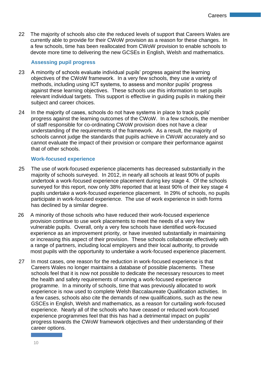22 The majority of schools also cite the reduced levels of support that Careers Wales are currently able to provide for their CWoW provision as a reason for these changes. In a few schools, time has been reallocated from CWoW provision to enable schools to devote more time to delivering the new GCSEs in English, Welsh and mathematics.

#### **Assessing pupil progress**

- 23 A minority of schools evaluate individual pupils' progress against the learning objectives of the CWoW framework. In a very few schools, they use a variety of methods, including using ICT systems, to assess and monitor pupils' progress against these learning objectives. These schools use this information to set pupils relevant individual targets. This support is effective in guiding pupils in making their subject and career choices.
- 24 In the majority of cases, schools do not have systems in place to track pupils' progress against the learning outcomes of the CWoW. In a few schools, the member of staff responsible for co-ordinating CWoW provision does not have a clear understanding of the requirements of the framework. As a result, the majority of schools cannot judge the standards that pupils achieve in CWoW accurately and so cannot evaluate the impact of their provision or compare their performance against that of other schools.

#### **Work-focused experience**

- 25 The use of work-focused experience placements has decreased substantially in the majority of schools surveyed. In 2012, in nearly all schools at least 90% of pupils undertook a work-focused experience placement during key stage 4. Of the schools surveyed for this report, now only 38% reported that at least 90% of their key stage 4 pupils undertake a work-focused experience placement. In 29% of schools, no pupils participate in work-focused experience. The use of work experience in sixth forms has declined by a similar degree.
- 26 A minority of those schools who have reduced their work-focused experience provision continue to use work placements to meet the needs of a very few vulnerable pupils. Overall, only a very few schools have identified work-focused experience as an improvement priority, or have invested substantially in maintaining or increasing this aspect of their provision. These schools collaborate effectively with a range of partners, including local employers and their local authority, to provide most pupils with the opportunity to undertake a work-focused experience placement.
- 27 In most cases, one reason for the reduction in work-focused experience is that Careers Wales no longer maintains a database of possible placements. These schools feel that it is now not possible to dedicate the necessary resources to meet the health and safety requirements of running a work-focused experience programme. In a minority of schools, time that was previously allocated to work experience is now used to complete Welsh Baccalaureate Qualification activities. In a few cases, schools also cite the demands of new qualifications, such as the new GSCEs in English, Welsh and mathematics, as a reason for curtailing work-focused experience. Nearly all of the schools who have ceased or reduced work-focused experience programmes feel that this has had a detrimental impact on pupils' progress towards the CWoW framework objectives and their understanding of their career options.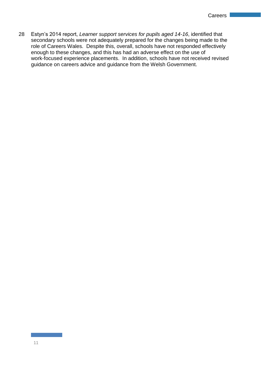28 Estyn's 2014 report, *Learner support services for pupils aged 14-16*, identified that secondary schools were not adequately prepared for the changes being made to the role of Careers Wales. Despite this, overall, schools have not responded effectively enough to these changes, and this has had an adverse effect on the use of work-focused experience placements. In addition, schools have not received revised guidance on careers advice and guidance from the Welsh Government.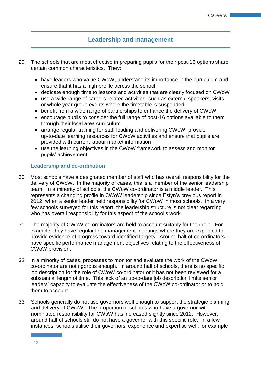## **Leadership and management**

- 29 The schools that are most effective in preparing pupils for their post-16 options share certain common characteristics. They:
	- have leaders who value CWoW, understand its importance in the curriculum and ensure that it has a high profile across the school
	- dedicate enough time to lessons and activities that are clearly focused on CWoW
	- use a wide range of careers-related activities, such as external speakers, visits or whole year group events where the timetable is suspended
	- benefit from a wide range of partnerships to enhance the delivery of CWoW
	- encourage pupils to consider the full range of post-16 options available to them through their local area curriculum
	- arrange regular training for staff leading and delivering CWoW, provide up-to-date learning resources for CWoW activities and ensure that pupils are provided with current labour market information
	- use the learning objectives in the CWoW framework to assess and monitor pupils' achievement

#### **Leadership and co-ordination**

- 30 Most schools have a designated member of staff who has overall responsibility for the delivery of CWoW. In the majority of cases, this is a member of the senior leadership team. In a minority of schools, the CWoW co-ordinator is a middle leader. This represents a changing profile in CWoW leadership since Estyn's previous report in 2012, when a senior leader held responsibility for CWoW in most schools. In a very few schools surveyed for this report, the leadership structure is not clear regarding who has overall responsibility for this aspect of the school's work.
- 31 The majority of CWoW co-ordinators are held to account suitably for their role. For example, they have regular line management meetings where they are expected to provide evidence of progress toward identified targets. Around half of co-ordinators have specific performance management objectives relating to the effectiveness of CWoW provision.
- 32 In a minority of cases, processes to monitor and evaluate the work of the CWoW co-ordinator are not rigorous enough. In around half of schools, there is no specific job description for the role of CWoW co-ordinator or it has not been reviewed for a substantial length of time. This lack of an up-to-date job description limits senior leaders' capacity to evaluate the effectiveness of the CWoW co-ordinator or to hold them to account.
- 33 Schools generally do not use governors well enough to support the strategic planning and delivery of CWoW. The proportion of schools who have a governor with nominated responsibility for CWoW has increased slightly since 2012. However, around half of schools still do not have a governor with this specific role. In a few instances, schools utilise their governors' experience and expertise well, for example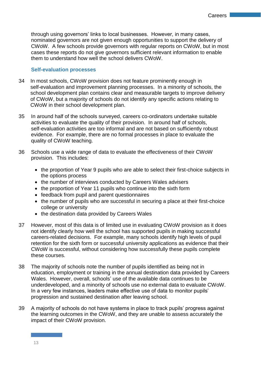through using governors' links to local businesses. However, in many cases, nominated governors are not given enough opportunities to support the delivery of CWoW. A few schools provide governors with regular reports on CWoW, but in most cases these reports do not give governors sufficient relevant information to enable them to understand how well the school delivers CWoW.

#### **Self-evaluation processes**

- 34 In most schools, CWoW provision does not feature prominently enough in self-evaluation and improvement planning processes. In a minority of schools, the school development plan contains clear and measurable targets to improve delivery of CWoW, but a majority of schools do not identify any specific actions relating to CWoW in their school development plan.
- 35 In around half of the schools surveyed, careers co-ordinators undertake suitable activities to evaluate the quality of their provision. In around half of schools, self-evaluation activities are too informal and are not based on sufficiently robust evidence. For example, there are no formal processes in place to evaluate the quality of CWoW teaching.
- 36 Schools use a wide range of data to evaluate the effectiveness of their CWoW provision. This includes:
	- the proportion of Year 9 pupils who are able to select their first-choice subjects in the options process
	- the number of interviews conducted by Careers Wales advisers
	- the proportion of Year 11 pupils who continue into the sixth form
	- feedback from pupil and parent questionnaires
	- the number of pupils who are successful in securing a place at their first-choice college or university
	- the destination data provided by Careers Wales
- 37 However, most of this data is of limited use in evaluating CWoW provision as it does not identify clearly how well the school has supported pupils in making successful careers-related decisions. For example, many schools identify high levels of pupil retention for the sixth form or successful university applications as evidence that their CWoW is successful, without considering how successfully these pupils complete these courses.
- 38 The majority of schools note the number of pupils identified as being not in education, employment or training in the annual destination data provided by Careers Wales. However, overall, schools' use of the available data continues to be underdeveloped, and a minority of schools use no external data to evaluate CWoW. In a very few instances, leaders make effective use of data to monitor pupils' progression and sustained destination after leaving school.
- 39 A majority of schools do not have systems in place to track pupils' progress against the learning outcomes in the CWoW, and they are unable to assess accurately the impact of their CWoW provision.

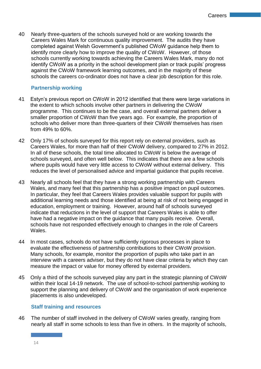40 Nearly three-quarters of the schools surveyed hold or are working towards the Careers Wales Mark for continuous quality improvement. The audits they have completed against Welsh Government's published CWoW guidance help them to identify more clearly how to improve the quality of CWoW. However, of those schools currently working towards achieving the Careers Wales Mark, many do not identify CWoW as a priority in the school development plan or track pupils' progress against the CWoW framework learning outcomes, and in the majority of these schools the careers co-ordinator does not have a clear job description for this role.

#### **Partnership working**

- 41 Estyn's previous report on CWoW in 2012 identified that there were large variations in the extent to which schools involve other partners in delivering the CWoW programme. This continues to be the case, and overall external partners deliver a smaller proportion of CWoW than five years ago. For example, the proportion of schools who deliver more than three-quarters of their CWoW themselves has risen from 49% to 60%.
- 42 Only 17% of schools surveyed for this report rely on external providers, such as Careers Wales, for more than half of their CWoW delivery, compared to 27% in 2012. In all of these schools, the total time allocated to CWoW is below the average of schools surveyed, and often well below. This indicates that there are a few schools where pupils would have very little access to CWoW without external delivery. This reduces the level of personalised advice and impartial guidance that pupils receive.
- 43 Nearly all schools feel that they have a strong working partnership with Careers Wales, and many feel that this partnership has a positive impact on pupil outcomes. In particular, they feel that Careers Wales provides valuable support for pupils with additional learning needs and those identified at being at risk of not being engaged in education, employment or training. However, around half of schools surveyed indicate that reductions in the level of support that Careers Wales is able to offer have had a negative impact on the guidance that many pupils receive. Overall, schools have not responded effectively enough to changes in the role of Careers Wales.
- 44 In most cases, schools do not have sufficiently rigorous processes in place to evaluate the effectiveness of partnership contributions to their CWoW provision. Many schools, for example, monitor the proportion of pupils who take part in an interview with a careers adviser, but they do not have clear criteria by which they can measure the impact or value for money offered by external providers.
- 45 Only a third of the schools surveyed play any part in the strategic planning of CWoW within their local 14-19 network. The use of school-to-school partnership working to support the planning and delivery of CWoW and the organisation of work experience placements is also undeveloped.

#### **Staff training and resources**

46 The number of staff involved in the delivery of CWoW varies greatly, ranging from nearly all staff in some schools to less than five in others. In the majority of schools,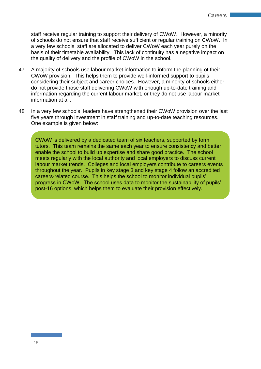staff receive regular training to support their delivery of CWoW. However, a minority of schools do not ensure that staff receive sufficient or regular training on CWoW. In a very few schools, staff are allocated to deliver CWoW each year purely on the basis of their timetable availability. This lack of continuity has a negative impact on the quality of delivery and the profile of CWoW in the school.

- 47 A majority of schools use labour market information to inform the planning of their CWoW provision. This helps them to provide well-informed support to pupils considering their subject and career choices. However, a minority of schools either do not provide those staff delivering CWoW with enough up-to-date training and information regarding the current labour market, or they do not use labour market information at all.
- 48 In a very few schools, leaders have strengthened their CWoW provision over the last five years through investment in staff training and up-to-date teaching resources. One example is given below:

CWoW is delivered by a dedicated team of six teachers, supported by form tutors. This team remains the same each year to ensure consistency and better enable the school to build up expertise and share good practice. The school meets regularly with the local authority and local employers to discuss current labour market trends. Colleges and local employers contribute to careers events throughout the year. Pupils in key stage 3 and key stage 4 follow an accredited careers-related course. This helps the school to monitor individual pupils' progress in CWoW. The school uses data to monitor the sustainability of pupils' post-16 options, which helps them to evaluate their provision effectively.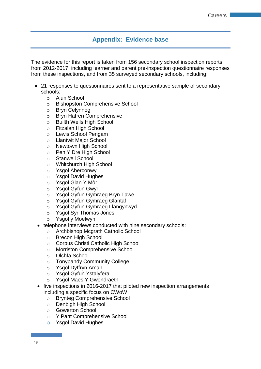## **Appendix: Evidence base**

The evidence for this report is taken from 156 secondary school inspection reports from 2012-2017, including learner and parent pre-inspection questionnaire responses from these inspections, and from 35 surveyed secondary schools, including:

- 21 responses to questionnaires sent to a representative sample of secondary schools:
	- o Alun School
	- o Bishopston Comprehensive School
	- o Bryn Celynnog
	- o Bryn Hafren Comprehensive
	- o Builth Wells High School
	- o Fitzalan High School
	- o Lewis School Pengam
	- o Llantwit Major School
	- o Newtown High School
	- o Pen Y Dre High School
	- o Stanwell School
	- o Whitchurch High School
	- o Ysgol Aberconwy
	- o Ysgol David Hughes
	- o Ysgol Glan Y Môr
	- o Ysgol Gyfun Gwyr
	- o Ysgol Gyfun Gymraeg Bryn Tawe
	- o Ysgol Gyfun Gymraeg Glantaf
	- o Ysgol Gyfun Gymraeg Llangynwyd
	- o Ysgol Syr Thomas Jones
	- o Ysgol y Moelwyn
- telephone interviews conducted with nine secondary schools:
	- o Archbishop Mcgrath Catholic School
	- o Brecon High School
	- o Corpus Christi Catholic High School
	- o Morriston Comprehensive School
	- o Olchfa School
	- o Tonypandy Community College
	- o Ysgol Dyffryn Aman
	- o Ysgol Gyfun Ystalyfera
	- o Ysgol Maes Y Gwendraeth
- five inspections in 2016-2017 that piloted new inspection arrangements including a specific focus on CWoW:
	- o Brynteg Comprehensive School
	- o Denbigh High School
	- o Gowerton School
	- o Y Pant Comprehensive School
	- o Ysgol David Hughes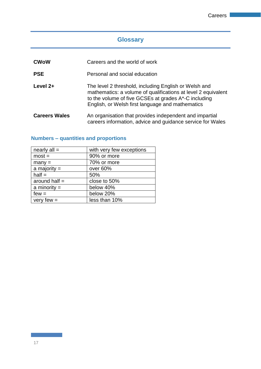## **Glossary**

| <b>CWoW</b>          | Careers and the world of work                                                                                                                                                                                                      |  |
|----------------------|------------------------------------------------------------------------------------------------------------------------------------------------------------------------------------------------------------------------------------|--|
| <b>PSE</b>           | Personal and social education                                                                                                                                                                                                      |  |
| Level 2+             | The level 2 threshold, including English or Welsh and<br>mathematics: a volume of qualifications at level 2 equivalent<br>to the volume of five GCSEs at grades A*-C including<br>English, or Welsh first language and mathematics |  |
| <b>Careers Wales</b> | An organisation that provides independent and impartial<br>careers information, advice and guidance service for Wales                                                                                                              |  |

## **Numbers – quantities and proportions**

| nearly $all =$  | with very few exceptions |
|-----------------|--------------------------|
| $most =$        | 90% or more              |
| $many =$        | 70% or more              |
| a majority $=$  | over 60%                 |
| $half =$        | 50%                      |
| around half $=$ | close to 50%             |
| a minority $=$  | below 40%                |
| $few =$         | below 20%                |
| very few $=$    | less than 10%            |